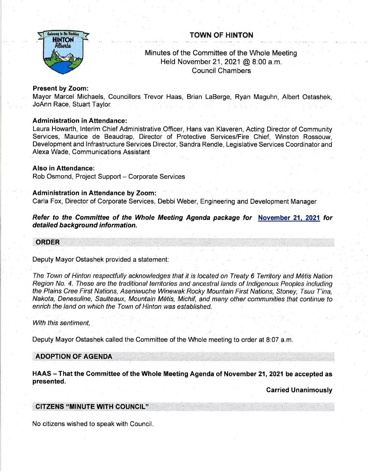# as to the Rechie HINTON

# TOWN OF HINTON

# Minutes of the Committee of the Whole Meeting Held November 21,2021 @ 8:00 a.m. Council Chambers

## Present by Zoom:

Mayor Marcel Michaels, Councillors Trevor Haas, Brian LaBerge, Ryan Maguhn, Albert Ostashek, JoAnn Race, Stuart Taylor

### Administration in Attendance:

Laura Howarth, lnterim Chief Administrative Officer, Hans van Klaveren, Acting Director of Community Services, Maurice de Beaudrap, Director of Protective Services/Fire Chief, Winston Rossouw, Development and lnfrastructure Seruices Director, Sandra Rendle, Legislative Services Coordinator and Alexa Wade, Communications Assistant

#### Also in Attendance:

Rob Osmond, Project Support - Corporate Services

### Administration in Attendance by Zoom:

Carla Fox, Director of Corporate Services, Debbi Weber, Engineering and Development Manager

Refer to the Committee of the Whole Meeting Agenda package for November 21, 2021 for detailed background information.

#### ORDER

#### Deputy Mayor Ostashek provided a statement,

The Town of Hinton respectfully acknowledges that it is located on Treaty 6 Territory and Metis Nation Region No. 4. Ihese are the traditional territories and ancestral lands of lndigenous Peoples including the Plains Cree First Nations, Aseniwuche Winewak Rocky Mountain First Nations, Sfoney, Tsuu T'ina, Nakota, Denesuline, Saulteaux, Mountain M6tis, Michif, and many other communities that continue to enrich the land on which the Town of Hinton was established.

#### With this sentiment,

Deputy Mayor Ostashek called the Committee of the Whole meeting to order at 8:07 a.m

#### ADOPTION OF AGENDA

HAAS - That the Committee of the Whole Meeting Agenda of November 21, 2021 be accepted as presented.

**Carried Unanimously** 

#### ' CITZENS "MINUTE WTH COUNCIL''

No citizens wished to speak with Council